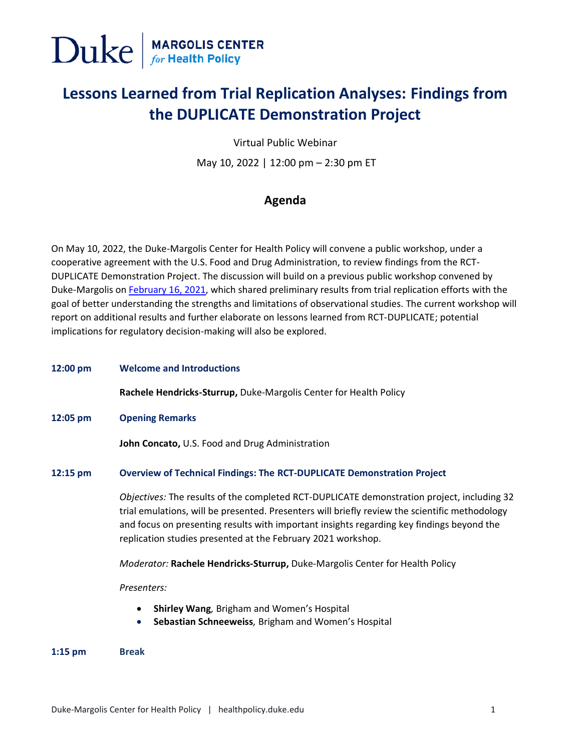

# **Lessons Learned from Trial Replication Analyses: Findings from the DUPLICATE Demonstration Project**

Virtual Public Webinar

May 10, 2022 | 12:00 pm – 2:30 pm ET

## **Agenda**

On May 10, 2022, the Duke-Margolis Center for Health Policy will convene a public workshop, under a cooperative agreement with the U.S. Food and Drug Administration, to review findings from the RCT-DUPLICATE Demonstration Project. The discussion will build on a previous public workshop convened by Duke-Margolis on [February 16, 2021,](https://healthpolicy.duke.edu/events/evaluating-rwe-observational-studies-regulatory-decision-making-lessons-learned-trial) which shared preliminary results from trial replication efforts with the goal of better understanding the strengths and limitations of observational studies. The current workshop will report on additional results and further elaborate on lessons learned from RCT-DUPLICATE; potential implications for regulatory decision-making will also be explored.

**12:00 pm Welcome and Introductions**

**Rachele Hendricks-Sturrup,** Duke-Margolis Center for Health Policy

**12:05 pm Opening Remarks** 

**John Concato,** U.S. Food and Drug Administration

### **12:15 pm Overview of Technical Findings: The RCT-DUPLICATE Demonstration Project**

*Objectives:* The results of the completed RCT-DUPLICATE demonstration project, including 32 trial emulations, will be presented. Presenters will briefly review the scientific methodology and focus on presenting results with important insights regarding key findings beyond the replication studies presented at the February 2021 workshop.

*Moderator:* **Rachele Hendricks-Sturrup,** Duke-Margolis Center for Health Policy

*Presenters:*

- **Shirley Wang***,* Brigham and Women's Hospital
- **Sebastian Schneeweiss***,* Brigham and Women's Hospital

**1:15 pm Break**